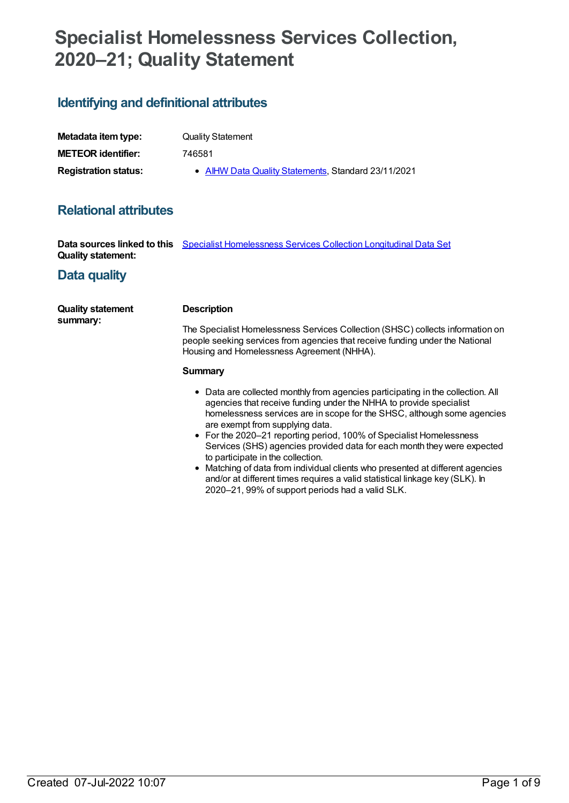# **Specialist Homelessness Services Collection, 2020–21; Quality Statement**

## **Identifying and definitional attributes**

| Metadata item type:         | <b>Quality Statement</b>                            |  |
|-----------------------------|-----------------------------------------------------|--|
| <b>METEOR</b> identifier:   | 746581                                              |  |
| <b>Registration status:</b> | • AIHW Data Quality Statements, Standard 23/11/2021 |  |

## **Relational attributes**

**Data sources linked to this** Specialist [Homelessness](https://meteor.aihw.gov.au/content/752803) Services Collection Longitudinal Data Set **Quality statement:**

## **Data quality**

| <b>Quality statement</b><br>summary: | <b>Description</b>                                                                                                                                                                                                                                                                                                                                                                                                                                         |  |
|--------------------------------------|------------------------------------------------------------------------------------------------------------------------------------------------------------------------------------------------------------------------------------------------------------------------------------------------------------------------------------------------------------------------------------------------------------------------------------------------------------|--|
|                                      | The Specialist Homelessness Services Collection (SHSC) collects information on<br>people seeking services from agencies that receive funding under the National<br>Housing and Homelessness Agreement (NHHA).                                                                                                                                                                                                                                              |  |
|                                      | Summary                                                                                                                                                                                                                                                                                                                                                                                                                                                    |  |
|                                      | • Data are collected monthly from agencies participating in the collection. All<br>agencies that receive funding under the NHHA to provide specialist<br>homelessness services are in scope for the SHSC, although some agencies<br>are exempt from supplying data.<br>• For the 2020–21 reporting period, 100% of Specialist Homelessness<br>Services (SHS) agencies provided data for each month they were expected<br>to participate in the collection. |  |

• Matching of data from individual clients who presented at different agencies and/or at different times requires a valid statistical linkage key (SLK). In 2020–21, 99% of support periods had a valid SLK.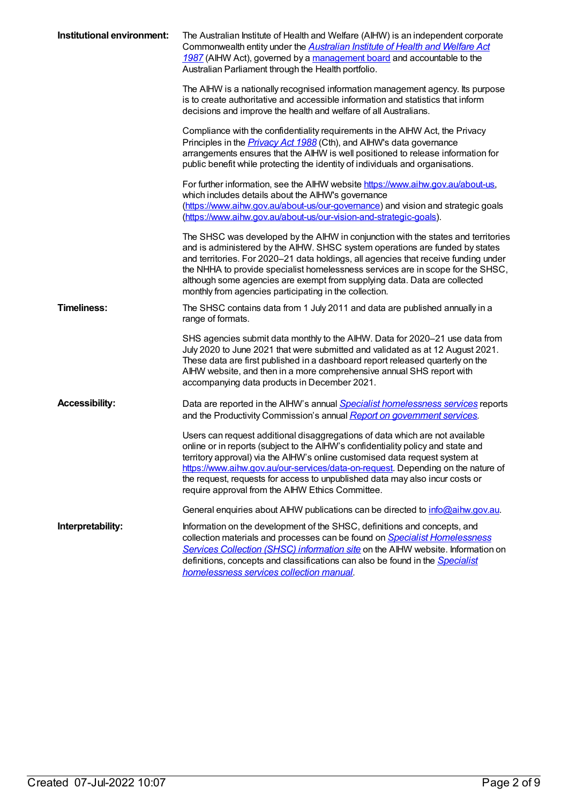| Institutional environment: | The Australian Institute of Health and Welfare (AIHW) is an independent corporate<br>Commonwealth entity under the Australian Institute of Health and Welfare Act<br>1987 (AIHW Act), governed by a management board and accountable to the<br>Australian Parliament through the Health portfolio.                                                                                                                                                                                 |
|----------------------------|------------------------------------------------------------------------------------------------------------------------------------------------------------------------------------------------------------------------------------------------------------------------------------------------------------------------------------------------------------------------------------------------------------------------------------------------------------------------------------|
|                            | The AIHW is a nationally recognised information management agency. Its purpose<br>is to create authoritative and accessible information and statistics that inform<br>decisions and improve the health and welfare of all Australians.                                                                                                                                                                                                                                             |
|                            | Compliance with the confidentiality requirements in the AIHW Act, the Privacy<br>Principles in the <i>Privacy Act 1988</i> (Cth), and AIHW's data governance<br>arrangements ensures that the AIHW is well positioned to release information for<br>public benefit while protecting the identity of individuals and organisations.                                                                                                                                                 |
|                            | For further information, see the AIHW website https://www.aihw.gov.au/about-us,<br>which includes details about the AIHW's governance<br>(https://www.aihw.gov.au/about-us/our-governance) and vision and strategic goals<br>(https://www.aihw.gov.au/about-us/our-vision-and-strategic-goals).                                                                                                                                                                                    |
|                            | The SHSC was developed by the AIHW in conjunction with the states and territories<br>and is administered by the AIHW. SHSC system operations are funded by states<br>and territories. For 2020-21 data holdings, all agencies that receive funding under<br>the NHHA to provide specialist homelessness services are in scope for the SHSC,<br>although some agencies are exempt from supplying data. Data are collected<br>monthly from agencies participating in the collection. |
| <b>Timeliness:</b>         | The SHSC contains data from 1 July 2011 and data are published annually in a<br>range of formats.                                                                                                                                                                                                                                                                                                                                                                                  |
|                            | SHS agencies submit data monthly to the AIHW. Data for 2020-21 use data from<br>July 2020 to June 2021 that were submitted and validated as at 12 August 2021.<br>These data are first published in a dashboard report released quarterly on the<br>AIHW website, and then in a more comprehensive annual SHS report with<br>accompanying data products in December 2021.                                                                                                          |
| <b>Accessibility:</b>      | Data are reported in the AIHW's annual <b>Specialist homelessness services</b> reports<br>and the Productivity Commission's annual Report on government services.                                                                                                                                                                                                                                                                                                                  |
|                            | Users can request additional disaggregations of data which are not available<br>online or in reports (subject to the AIHW's confidentiality policy and state and<br>territory approval) via the AIHW's online customised data request system at<br>https://www.aihw.gov.au/our-services/data-on-request. Depending on the nature of<br>the request, requests for access to unpublished data may also incur costs or<br>require approval from the AIHW Ethics Committee.            |
|                            | General enquiries about AIHW publications can be directed to info@aihw.gov.au.                                                                                                                                                                                                                                                                                                                                                                                                     |
| Interpretability:          | Information on the development of the SHSC, definitions and concepts, and<br>collection materials and processes can be found on <b>Specialist Homelessness</b><br>Services Collection (SHSC) information site on the AIHW website. Information on<br>definitions, concepts and classifications can also be found in the Specialist<br>homelessness services collection manual.                                                                                                     |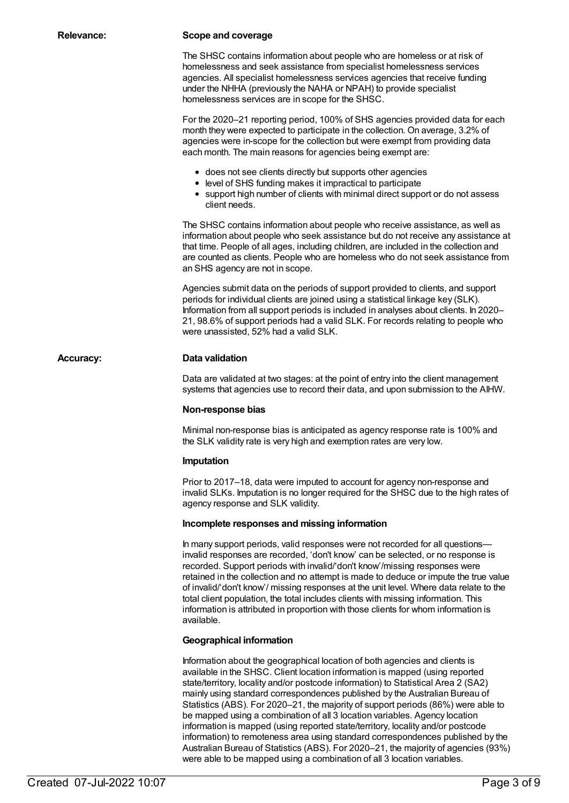#### **Relevance: Scope and coverage**

The SHSC contains information about people who are homeless or at risk of homelessness and seek assistance from specialist homelessness services agencies. All specialist homelessness services agencies that receive funding under the NHHA (previously the NAHA or NPAH) to provide specialist homelessness services are in scope for the SHSC.

For the 2020–21 reporting period, 100% of SHS agencies provided data for each month they were expected to participate in the collection. On average, 3.2% of agencies were in-scope for the collection but were exempt from providing data each month. The main reasons for agencies being exempt are:

- does not see clients directly but supports other agencies
- level of SHS funding makes it impractical to participate
- support high number of clients with minimal direct support or do not assess client needs.

The SHSC contains information about people who receive assistance, as well as information about people who seek assistance but do not receive any assistance at that time. People of all ages, including children, are included in the collection and are counted as clients. People who are homeless who do not seek assistance from an SHS agency are not in scope.

Agencies submit data on the periods of support provided to clients, and support periods for individual clients are joined using a statistical linkage key (SLK). Information from all support periods is included in analyses about clients. In 2020– 21, 98.6% of support periods had a valid SLK. For records relating to people who were unassisted, 52% had a valid SLK.

#### **Accuracy: Data validation**

Data are validated at two stages: at the point of entry into the client management systems that agencies use to record their data, and upon submission to the AIHW.

#### **Non-response bias**

Minimal non-response bias is anticipated as agency response rate is 100% and the SLK validity rate is very high and exemption rates are very low.

#### **Imputation**

Prior to 2017–18, data were imputed to account for agency non-response and invalid SLKs. Imputation is no longer required for the SHSC due to the high rates of agency response and SLK validity.

#### **Incomplete responses and missing information**

In many support periods, valid responses were not recorded for all questions invalid responses are recorded, 'don't know' can be selected, or no response is recorded. Support periods with invalid/'don't know'/missing responses were retained in the collection and no attempt is made to deduce or impute the true value of invalid/'don't know'/ missing responses at the unit level. Where data relate to the total client population, the total includes clients with missing information. This information is attributed in proportion with those clients for whom information is available.

#### **Geographical information**

Information about the geographical location of both agencies and clients is available in the SHSC. Client location information is mapped (using reported state/territory, locality and/or postcode information) to Statistical Area 2 (SA2) mainly using standard correspondences published by the Australian Bureau of Statistics (ABS). For 2020–21, the majority of support periods (86%) were able to be mapped using a combination of all 3 location variables. Agency location information is mapped (using reported state/territory, locality and/or postcode information) to remoteness area using standard correspondences published by the Australian Bureau of Statistics (ABS). For 2020–21, the majority of agencies (93%) were able to be mapped using a combination of all 3 location variables.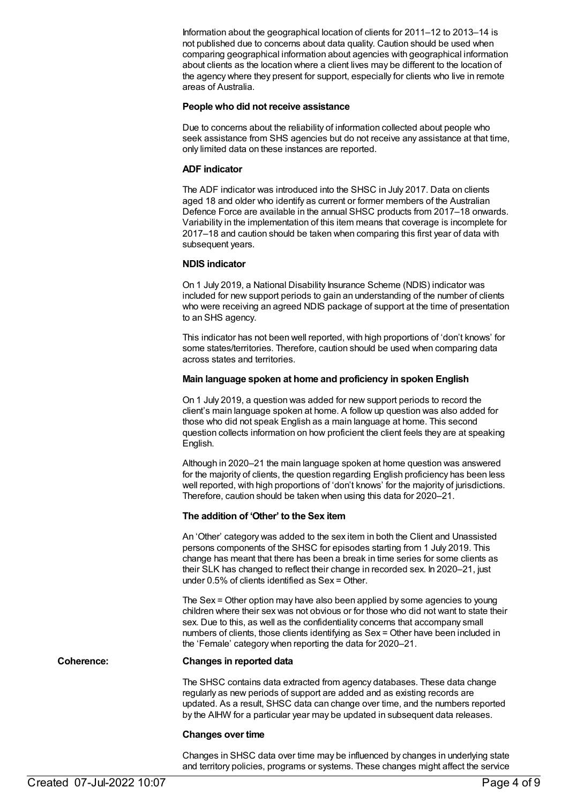Information about the geographical location of clients for 2011–12 to 2013–14 is not published due to concerns about data quality. Caution should be used when comparing geographical information about agencies with geographical information about clients as the location where a client lives may be different to the location of the agency where they present for support, especially for clients who live in remote areas of Australia.

#### **People who did not receive assistance**

Due to concerns about the reliability of information collected about people who seek assistance from SHS agencies but do not receive any assistance at that time, only limited data on these instances are reported.

#### **ADF indicator**

The ADF indicator was introduced into the SHSC in July 2017. Data on clients aged 18 and older who identify as current or former members of the Australian Defence Force are available in the annual SHSC products from 2017–18 onwards. Variability in the implementation of this item means that coverage is incomplete for 2017–18 and caution should be taken when comparing this first year of data with subsequent years.

#### **NDIS indicator**

On 1 July 2019, a National Disability Insurance Scheme (NDIS) indicator was included for new support periods to gain an understanding of the number of clients who were receiving an agreed NDIS package of support at the time of presentation to an SHS agency.

This indicator has not been well reported, with high proportions of 'don't knows' for some states/territories. Therefore, caution should be used when comparing data across states and territories.

#### **Main language spoken at home and proficiency in spoken English**

On 1 July 2019, a question was added for new support periods to record the client's main language spoken at home. A follow up question was also added for those who did not speak English as a main language at home. This second question collects information on how proficient the client feels they are at speaking English.

Although in 2020–21 the main language spoken at home question was answered for the majority of clients, the question regarding English proficiency has been less well reported, with high proportions of 'don't knows' for the majority of jurisdictions. Therefore, caution should be taken when using this data for 2020–21.

#### **The addition of 'Other' to the Sex item**

An 'Other' category was added to the sex item in both the Client and Unassisted persons components of the SHSC for episodes starting from 1 July 2019. This change has meant that there has been a break in time series for some clients as their SLK has changed to reflect their change in recorded sex. In 2020–21, just under 0.5% of clients identified as Sex = Other.

The Sex = Other option may have also been applied by some agencies to young children where their sex was not obvious or for those who did not want to state their sex. Due to this, as well as the confidentiality concerns that accompany small numbers of clients, those clients identifying as Sex = Other have been included in the 'Female' category when reporting the data for 2020–21.

#### **Coherence: Changes in reported data**

The SHSC contains data extracted from agency databases. These data change regularly as new periods of support are added and as existing records are updated. As a result, SHSC data can change over time, and the numbers reported by the AIHW for a particular year may be updated in subsequent data releases.

#### **Changes over time**

Changes in SHSC data over time may be influenced by changes in underlying state and territory policies, programs or systems. These changes might affect the service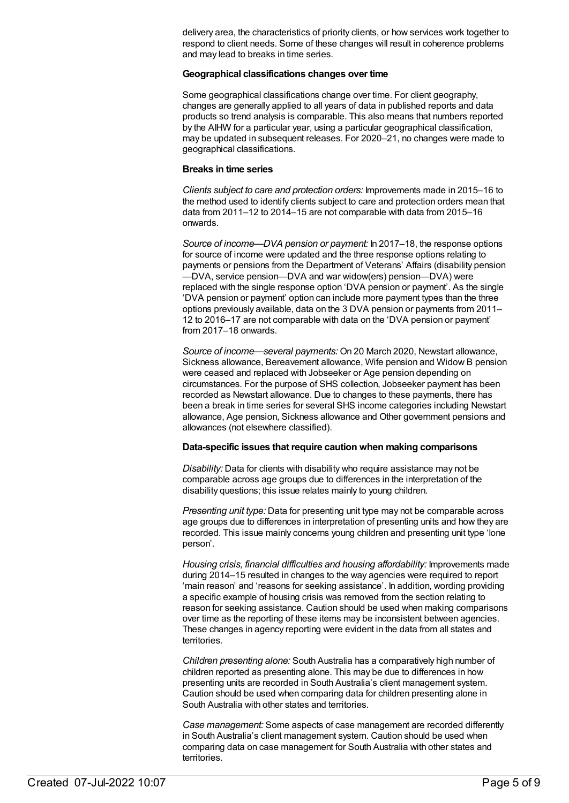delivery area, the characteristics of priority clients, or how services work together to respond to client needs. Some of these changes will result in coherence problems and may lead to breaks in time series.

#### **Geographical classifications changes over time**

Some geographical classifications change over time. For client geography, changes are generally applied to all years of data in published reports and data products so trend analysis is comparable. This also means that numbers reported by the AIHW for a particular year, using a particular geographical classification, may be updated in subsequent releases. For 2020–21, no changes were made to geographical classifications.

#### **Breaks in time series**

*Clients subject to care and protection orders:* Improvements made in 2015–16 to the method used to identify clients subject to care and protection orders mean that data from 2011–12 to 2014–15 are not comparable with data from 2015–16 onwards.

*Source of income—DVA pension or payment:* In 2017–18, the response options for source of income were updated and the three response options relating to payments or pensions from the Department of Veterans' Affairs (disability pension —DVA, service pension—DVA and war widow(ers) pension—DVA) were replaced with the single response option 'DVA pension or payment'. As the single 'DVA pension or payment' option can include more payment types than the three options previously available, data on the 3 DVA pension or payments from 2011– 12 to 2016–17 are not comparable with data on the 'DVA pension or payment' from 2017–18 onwards.

*Source of income—several payments:* On 20 March 2020, Newstart allowance, Sickness allowance, Bereavement allowance, Wife pension and Widow B pension were ceased and replaced with Jobseeker or Age pension depending on circumstances. For the purpose of SHS collection, Jobseeker payment has been recorded as Newstart allowance. Due to changes to these payments, there has been a break in time series for several SHS income categories including Newstart allowance, Age pension, Sickness allowance and Other government pensions and allowances (not elsewhere classified).

#### **Data-specific issues that require caution when making comparisons**

*Disability:* Data for clients with disability who require assistance may not be comparable across age groups due to differences in the interpretation of the disability questions; this issue relates mainly to young children.

*Presenting unit type:* Data for presenting unit type may not be comparable across age groups due to differences in interpretation of presenting units and how they are recorded. This issue mainly concerns young children and presenting unit type 'lone person'.

*Housing crisis, financial difficulties and housing affordability:* Improvements made during 2014–15 resulted in changes to the way agencies were required to report 'main reason' and 'reasons for seeking assistance'. In addition, wording providing a specific example of housing crisis was removed from the section relating to reason for seeking assistance. Caution should be used when making comparisons over time as the reporting of these items may be inconsistent between agencies. These changes in agency reporting were evident in the data from all states and territories.

*Children presenting alone:* South Australia has a comparatively high number of children reported as presenting alone. This may be due to differences in how presenting units are recorded in South Australia's client management system. Caution should be used when comparing data for children presenting alone in South Australia with other states and territories.

*Case management:* Some aspects of case management are recorded differently in South Australia's client management system. Caution should be used when comparing data on case management for South Australia with other states and territories.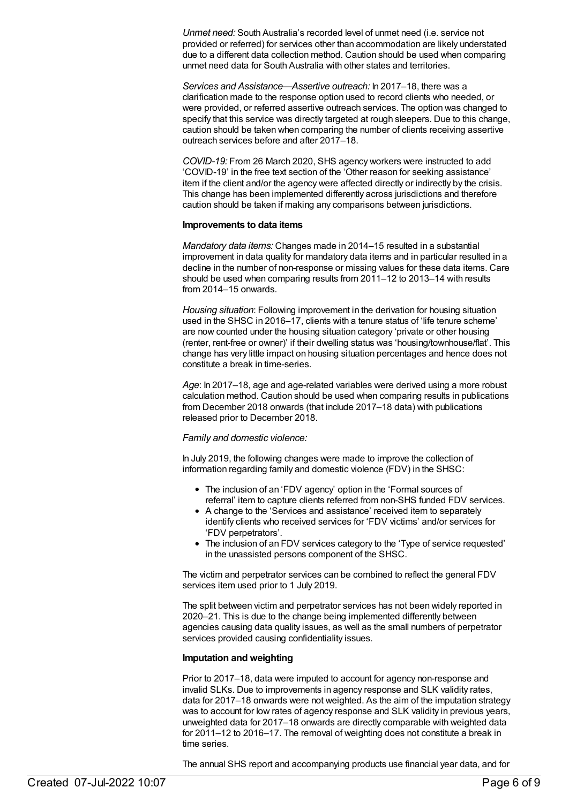*Unmet need:* South Australia's recorded level of unmet need (i.e. service not provided or referred) for services other than accommodation are likely understated due to a different data collection method. Caution should be used when comparing unmet need data for South Australia with other states and territories.

*Services and Assistance—Assertive outreach:* In 2017–18, there was a clarification made to the response option used to record clients who needed, or were provided, or referred assertive outreach services. The option was changed to specify that this service was directly targeted at rough sleepers. Due to this change, caution should be taken when comparing the number of clients receiving assertive outreach services before and after 2017–18.

*COVID-19:* From 26 March 2020, SHS agency workers were instructed to add 'COVID-19' in the free text section of the 'Other reason for seeking assistance' item if the client and/or the agency were affected directly or indirectly by the crisis. This change has been implemented differently across jurisdictions and therefore caution should be taken if making any comparisons between jurisdictions.

#### **Improvements to data items**

*Mandatory data items:* Changes made in 2014–15 resulted in a substantial improvement in data quality for mandatory data items and in particular resulted in a decline in the number of non-response or missing values for these data items. Care should be used when comparing results from 2011–12 to 2013–14 with results from 2014–15 onwards.

*Housing situation*: Following improvement in the derivation for housing situation used in the SHSC in 2016–17, clients with a tenure status of 'life tenure scheme' are now counted under the housing situation category 'private or other housing (renter, rent-free or owner)' if their dwelling status was 'housing/townhouse/flat'. This change has very little impact on housing situation percentages and hence does not constitute a break in time-series.

*Age*: In 2017–18, age and age-related variables were derived using a more robust calculation method. Caution should be used when comparing results in publications from December 2018 onwards (that include 2017–18 data) with publications released prior to December 2018.

#### *Family and domestic violence:*

In July 2019, the following changes were made to improve the collection of information regarding family and domestic violence (FDV) in the SHSC:

- The inclusion of an 'FDV agency' option in the 'Formal sources of referral' item to capture clients referred from non-SHS funded FDV services.
- A change to the 'Services and assistance' received item to separately identify clients who received services for 'FDV victims' and/or services for 'FDV perpetrators'.
- The inclusion of an FDV services category to the 'Type of service requested' in the unassisted persons component of the SHSC.

The victim and perpetrator services can be combined to reflect the general FDV services item used prior to 1 July 2019.

The split between victim and perpetrator services has not been widely reported in 2020–21. This is due to the change being implemented differently between agencies causing data quality issues, as well as the small numbers of perpetrator services provided causing confidentiality issues.

#### **Imputation and weighting**

Prior to 2017–18, data were imputed to account for agency non-response and invalid SLKs. Due to improvements in agency response and SLK validity rates, data for 2017–18 onwards were not weighted. As the aim of the imputation strategy was to account for low rates of agency response and SLK validity in previous years, unweighted data for 2017–18 onwards are directly comparable with weighted data for 2011–12 to 2016–17. The removal of weighting does not constitute a break in time series.

The annual SHS report and accompanying products use financial year data, and for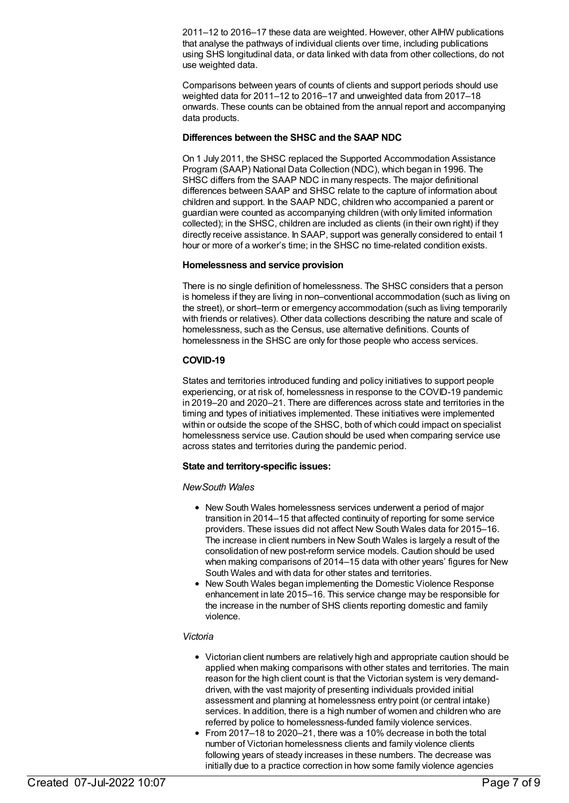2011–12 to 2016–17 these data are weighted. However, other AIHW publications that analyse the pathways of individual clients over time, including publications using SHS longitudinal data, or data linked with data from other collections, do not use weighted data.

Comparisons between years of counts of clients and support periods should use weighted data for 2011–12 to 2016–17 and unweighted data from 2017–18 onwards. These counts can be obtained from the annual report and accompanying data products.

#### **Differences between the SHSC and the SAAP NDC**

On 1 July 2011, the SHSC replaced the Supported Accommodation Assistance Program (SAAP) National Data Collection (NDC), which began in 1996. The SHSC differs from the SAAP NDC in many respects. The major definitional differences between SAAP and SHSC relate to the capture of information about children and support. In the SAAP NDC, children who accompanied a parent or guardian were counted as accompanying children (with only limited information collected); in the SHSC, children are included as clients (in their own right) if they directly receive assistance. In SAAP, support was generally considered to entail 1 hour or more of a worker's time; in the SHSC no time-related condition exists.

#### **Homelessness and service provision**

There is no single definition of homelessness. The SHSC considers that a person is homeless if they are living in non–conventional accommodation (such as living on the street), or short–term or emergency accommodation (such as living temporarily with friends or relatives). Other data collections describing the nature and scale of homelessness, such as the Census, use alternative definitions. Counts of homelessness in the SHSC are only for those people who access services.

### **COVID-19**

States and territories introduced funding and policy initiatives to support people experiencing, or at risk of, homelessness in response to the COVID-19 pandemic in 2019–20 and 2020–21. There are differences across state and territories in the timing and types of initiatives implemented. These initiatives were implemented within or outside the scope of the SHSC, both of which could impact on specialist homelessness service use. Caution should be used when comparing service use across states and territories during the pandemic period.

#### **State and territory-specific issues:**

#### *NewSouth Wales*

- New South Wales homelessness services underwent a period of major transition in 2014–15 that affected continuity of reporting for some service providers. These issues did not affect New South Wales data for 2015–16. The increase in client numbers in New South Wales is largely a result of the consolidation of new post-reform service models. Caution should be used when making comparisons of 2014–15 data with other years' figures for New South Wales and with data for other states and territories.
- New South Wales began implementing the Domestic Violence Response enhancement in late 2015–16. This service change may be responsible for the increase in the number of SHS clients reporting domestic and family violence.

#### *Victoria*

- Victorian client numbers are relatively high and appropriate caution should be applied when making comparisons with other states and territories. The main reason for the high client count is that the Victorian system is very demanddriven, with the vast majority of presenting individuals provided initial assessment and planning at homelessness entry point (or central intake) services. In addition, there is a high number of women and children who are referred by police to homelessness-funded family violence services.
- From 2017–18 to 2020–21, there was a 10% decrease in both the total number of Victorian homelessness clients and family violence clients following years of steady increases in these numbers. The decrease was initially due to a practice correction in how some family violence agencies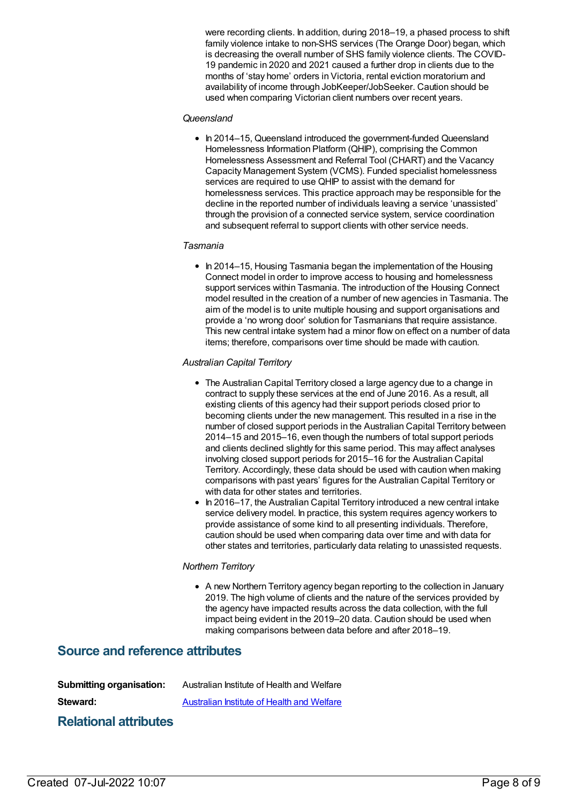were recording clients. In addition, during 2018–19, a phased process to shift family violence intake to non-SHS services (The Orange Door) began, which is decreasing the overall number of SHS family violence clients. The COVID-19 pandemic in 2020 and 2021 caused a further drop in clients due to the months of 'stay home' orders in Victoria, rental eviction moratorium and availability of income through JobKeeper/JobSeeker. Caution should be used when comparing Victorian client numbers over recent years.

#### *Queensland*

• In 2014–15, Queensland introduced the government-funded Queensland Homelessness Information Platform (QHIP), comprising the Common Homelessness Assessment and Referral Tool (CHART) and the Vacancy Capacity Management System (VCMS). Funded specialist homelessness services are required to use QHIP to assist with the demand for homelessness services. This practice approach may be responsible for the decline in the reported number of individuals leaving a service 'unassisted' through the provision of a connected service system, service coordination and subsequent referral to support clients with other service needs.

#### *Tasmania*

• In 2014–15, Housing Tasmania began the implementation of the Housing Connect model in order to improve access to housing and homelessness support services within Tasmania. The introduction of the Housing Connect model resulted in the creation of a number of new agencies in Tasmania. The aim of the model is to unite multiple housing and support organisations and provide a 'no wrong door' solution for Tasmanians that require assistance. This new central intake system had a minor flow on effect on a number of data items; therefore, comparisons over time should be made with caution.

#### *Australian Capital Territory*

- The Australian Capital Territory closed a large agency due to a change in contract to supply these services at the end of June 2016. As a result, all existing clients of this agency had their support periods closed prior to becoming clients under the new management. This resulted in a rise in the number of closed support periods in the Australian Capital Territory between 2014–15 and 2015–16, even though the numbers of total support periods and clients declined slightly for this same period. This may affect analyses involving closed support periods for 2015–16 for the Australian Capital Territory. Accordingly, these data should be used with caution when making comparisons with past years' figures for the Australian Capital Territory or with data for other states and territories.
- In 2016–17, the Australian Capital Territory introduced a new central intake service delivery model. In practice, this system requires agency workers to provide assistance of some kind to all presenting individuals. Therefore, caution should be used when comparing data over time and with data for other states and territories, particularly data relating to unassisted requests.

#### *Northern Territory*

A new Northern Territory agency began reporting to the collection in January 2019. The high volume of clients and the nature of the services provided by the agency have impacted results across the data collection, with the full impact being evident in the 2019–20 data. Caution should be used when making comparisons between data before and after 2018–19.

## **Source and reference attributes**

| <b>Submitting organisation:</b> | Australian Institute of Health and Welfare |
|---------------------------------|--------------------------------------------|
| Steward:                        | Australian Institute of Health and Welfare |
| <b>Relational attributes</b>    |                                            |